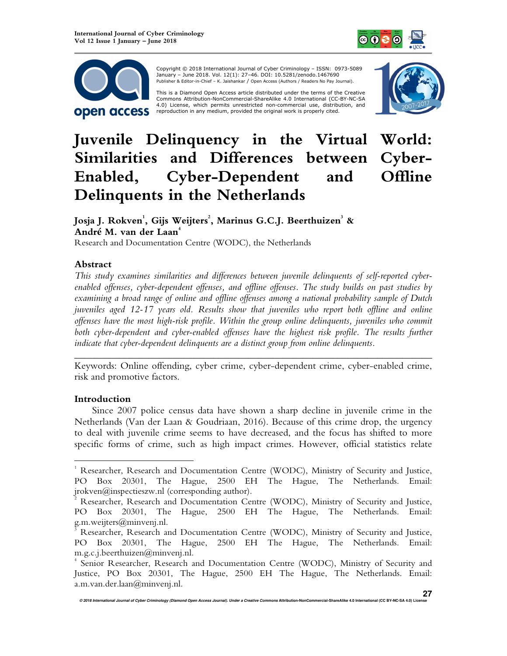



 Copyright © 2018 International Journal of Cyber Criminology – ISSN: 0973-5089 January – June 2018. Vol. 12(1): 27–46. DOI: 10.5281/zenodo.1467690 Publisher & Editor-in-Chief – K. Jaishankar / Open Access (Authors / Readers No Pay Journal).

This is a Diamond Open Access article distributed under the terms of the Creative<br>Commons Attribution-NonCommercial-ShareAlike 4.0 International (CC-BY-NC-SA 4.0) License, which permits unrestricted non-commercial use, distribution, and reproduction in any medium, provided the original work is properly cited.



# **Juvenile Delinquency in the Virtual World: Similarities and Differences between Cyber-Enabled, Cyber-Dependent and Offline Delinquents in the Netherlands**

**Josja J. Rokven<sup>1</sup> , Gijs Weijters<sup>2</sup> , Marinus G.C.J. Beerthuizen<sup>3</sup> & André M. van der Laan<sup>4</sup>**

Research and Documentation Centre (WODC), the Netherlands

## **Abstract**

*This study examines similarities and differences between juvenile delinquents of self-reported cyberenabled offenses, cyber-dependent offenses, and offline offenses. The study builds on past studies by examining a broad range of online and offline offenses among a national probability sample of Dutch juveniles aged 12-17 years old. Results show that juveniles who report both offline and online offenses have the most high-risk profile. Within the group online delinquents, juveniles who commit*  both cyber-dependent and cyber-enabled offenses have the highest risk profile. The results further *indicate that cyber-dependent delinquents are a distinct group from online delinquents.* 

*\_\_\_\_\_\_\_\_\_\_\_\_\_\_\_\_\_\_\_\_\_\_\_\_\_\_\_\_\_\_\_\_\_\_\_\_\_\_\_\_\_\_\_\_\_\_\_\_\_\_\_\_\_\_\_\_\_\_\_\_\_\_\_\_\_\_\_\_\_\_\_\_*  Keywords: Online offending, cyber crime, cyber-dependent crime, cyber-enabled crime, risk and promotive factors.

## **Introduction**

 $\overline{a}$ 

Since 2007 police census data have shown a sharp decline in juvenile crime in the Netherlands (Van der Laan & Goudriaan, 2016). Because of this crime drop, the urgency to deal with juvenile crime seems to have decreased, and the focus has shifted to more specific forms of crime, such as high impact crimes. However, official statistics relate

<sup>&</sup>lt;sup>1</sup> Researcher, Research and Documentation Centre (WODC), Ministry of Security and Justice, PO Box 20301, The Hague, 2500 EH The Hague, The Netherlands. Email: jrokven@inspectieszw.nl (corresponding author).

<sup>2</sup> Researcher, Research and Documentation Centre (WODC), Ministry of Security and Justice, PO Box 20301, The Hague, 2500 EH The Hague, The Netherlands. Email: g.m.weijters@minvenj.nl.

<sup>3</sup> Researcher, Research and Documentation Centre (WODC), Ministry of Security and Justice, PO Box 20301, The Hague, 2500 EH The Hague, The Netherlands. Email: m.g.c.j.beerthuizen@minvenj.nl.

<sup>4</sup> Senior Researcher, Research and Documentation Centre (WODC), Ministry of Security and Justice, PO Box 20301, The Hague, 2500 EH The Hague, The Netherlands. Email: a.m.van.der.laan@minvenj.nl.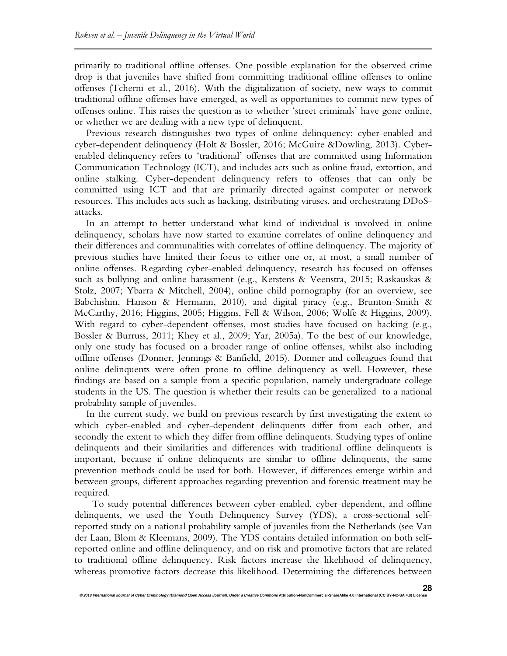primarily to traditional offline offenses. One possible explanation for the observed crime drop is that juveniles have shifted from committing traditional offline offenses to online offenses (Tcherni et al., 2016). With the digitalization of society, new ways to commit traditional offline offenses have emerged, as well as opportunities to commit new types of offenses online. This raises the question as to whether 'street criminals' have gone online, or whether we are dealing with a new type of delinquent.

Previous research distinguishes two types of online delinquency: cyber-enabled and cyber-dependent delinquency (Holt & Bossler, 2016; McGuire &Dowling, 2013). Cyberenabled delinquency refers to 'traditional' offenses that are committed using Information Communication Technology (ICT), and includes acts such as online fraud, extortion, and online stalking. Cyber-dependent delinquency refers to offenses that can only be committed using ICT and that are primarily directed against computer or network resources. This includes acts such as hacking, distributing viruses, and orchestrating DDoSattacks.

In an attempt to better understand what kind of individual is involved in online delinquency, scholars have now started to examine correlates of online delinquency and their differences and communalities with correlates of offline delinquency. The majority of previous studies have limited their focus to either one or, at most, a small number of online offenses. Regarding cyber-enabled delinquency, research has focused on offenses such as bullying and online harassment (e.g., Kerstens & Veenstra, 2015; Raskauskas & Stolz, 2007; Ybarra & Mitchell, 2004), online child pornography (for an overview, see Babchishin, Hanson & Hermann, 2010), and digital piracy (e.g., Brunton-Smith & McCarthy, 2016; Higgins, 2005; Higgins, Fell & Wilson, 2006; Wolfe & Higgins, 2009). With regard to cyber-dependent offenses, most studies have focused on hacking (e.g., Bossler & Burruss, 2011; Khey et al., 2009; Yar, 2005a). To the best of our knowledge, only one study has focused on a broader range of online offenses, whilst also including offline offenses (Donner, Jennings & Banfield, 2015). Donner and colleagues found that online delinquents were often prone to offline delinquency as well. However, these findings are based on a sample from a specific population, namely undergraduate college students in the US. The question is whether their results can be generalized to a national probability sample of juveniles.

In the current study, we build on previous research by first investigating the extent to which cyber-enabled and cyber-dependent delinquents differ from each other, and secondly the extent to which they differ from offline delinquents. Studying types of online delinquents and their similarities and differences with traditional offline delinquents is important, because if online delinquents are similar to offline delinquents, the same prevention methods could be used for both. However, if differences emerge within and between groups, different approaches regarding prevention and forensic treatment may be required.

To study potential differences between cyber-enabled, cyber-dependent, and offline delinquents, we used the Youth Delinquency Survey (YDS), a cross-sectional selfreported study on a national probability sample of juveniles from the Netherlands (see Van der Laan, Blom & Kleemans, 2009). The YDS contains detailed information on both selfreported online and offline delinquency, and on risk and promotive factors that are related to traditional offline delinquency. Risk factors increase the likelihood of delinquency, whereas promotive factors decrease this likelihood. Determining the differences between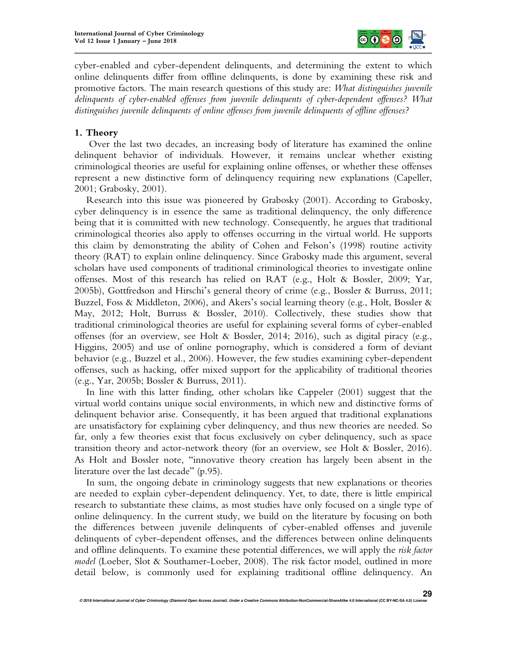

cyber-enabled and cyber-dependent delinquents, and determining the extent to which online delinquents differ from offline delinquents, is done by examining these risk and promotive factors. The main research questions of this study are: *What distinguishes juvenile delinquents of cyber-enabled offenses from juvenile delinquents of cyber-dependent offenses? What distinguishes juvenile delinquents of online offenses from juvenile delinquents of offline offenses?* 

## **1. Theory**

 Over the last two decades, an increasing body of literature has examined the online delinquent behavior of individuals. However, it remains unclear whether existing criminological theories are useful for explaining online offenses, or whether these offenses represent a new distinctive form of delinquency requiring new explanations (Capeller, 2001; Grabosky, 2001).

Research into this issue was pioneered by Grabosky (2001). According to Grabosky, cyber delinquency is in essence the same as traditional delinquency, the only difference being that it is committed with new technology. Consequently, he argues that traditional criminological theories also apply to offenses occurring in the virtual world. He supports this claim by demonstrating the ability of Cohen and Felson's (1998) routine activity theory (RAT) to explain online delinquency. Since Grabosky made this argument, several scholars have used components of traditional criminological theories to investigate online offenses. Most of this research has relied on RAT (e.g., Holt & Bossler, 2009; Yar, 2005b), Gottfredson and Hirschi's general theory of crime (e.g., Bossler & Burruss, 2011; Buzzel, Foss & Middleton, 2006), and Akers's social learning theory (e.g., Holt, Bossler & May, 2012; Holt, Burruss & Bossler, 2010). Collectively, these studies show that traditional criminological theories are useful for explaining several forms of cyber-enabled offenses (for an overview, see Holt & Bossler, 2014; 2016), such as digital piracy (e.g., Higgins, 2005) and use of online pornography, which is considered a form of deviant behavior (e.g., Buzzel et al., 2006). However, the few studies examining cyber-dependent offenses, such as hacking, offer mixed support for the applicability of traditional theories (e.g., Yar, 2005b; Bossler & Burruss, 2011).

In line with this latter finding, other scholars like Cappeler (2001) suggest that the virtual world contains unique social environments, in which new and distinctive forms of delinquent behavior arise. Consequently, it has been argued that traditional explanations are unsatisfactory for explaining cyber delinquency, and thus new theories are needed. So far, only a few theories exist that focus exclusively on cyber delinquency, such as space transition theory and actor-network theory (for an overview, see Holt & Bossler, 2016). As Holt and Bossler note, "innovative theory creation has largely been absent in the literature over the last decade" (p.95).

In sum, the ongoing debate in criminology suggests that new explanations or theories are needed to explain cyber-dependent delinquency. Yet, to date, there is little empirical research to substantiate these claims, as most studies have only focused on a single type of online delinquency. In the current study, we build on the literature by focusing on both the differences between juvenile delinquents of cyber-enabled offenses and juvenile delinquents of cyber-dependent offenses, and the differences between online delinquents and offline delinquents. To examine these potential differences, we will apply the *risk factor model* (Loeber, Slot & Southamer-Loeber, 2008). The risk factor model, outlined in more detail below, is commonly used for explaining traditional offline delinquency. An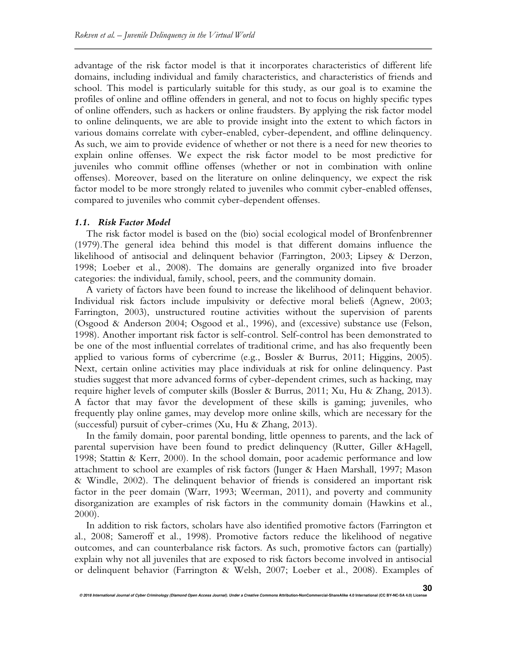advantage of the risk factor model is that it incorporates characteristics of different life domains, including individual and family characteristics, and characteristics of friends and school. This model is particularly suitable for this study, as our goal is to examine the profiles of online and offline offenders in general, and not to focus on highly specific types of online offenders, such as hackers or online fraudsters. By applying the risk factor model to online delinquents, we are able to provide insight into the extent to which factors in various domains correlate with cyber-enabled, cyber-dependent, and offline delinquency. As such, we aim to provide evidence of whether or not there is a need for new theories to explain online offenses. We expect the risk factor model to be most predictive for juveniles who commit offline offenses (whether or not in combination with online offenses). Moreover, based on the literature on online delinquency, we expect the risk factor model to be more strongly related to juveniles who commit cyber-enabled offenses, compared to juveniles who commit cyber-dependent offenses.

#### *1.1. Risk Factor Model*

The risk factor model is based on the (bio) social ecological model of Bronfenbrenner (1979).The general idea behind this model is that different domains influence the likelihood of antisocial and delinquent behavior (Farrington, 2003; Lipsey & Derzon, 1998; Loeber et al., 2008). The domains are generally organized into five broader categories: the individual, family, school, peers, and the community domain.

A variety of factors have been found to increase the likelihood of delinquent behavior. Individual risk factors include impulsivity or defective moral beliefs (Agnew, 2003; Farrington, 2003), unstructured routine activities without the supervision of parents (Osgood & Anderson 2004; Osgood et al., 1996), and (excessive) substance use (Felson, 1998). Another important risk factor is self-control. Self-control has been demonstrated to be one of the most influential correlates of traditional crime, and has also frequently been applied to various forms of cybercrime (e.g., Bossler & Burrus, 2011; Higgins, 2005). Next, certain online activities may place individuals at risk for online delinquency. Past studies suggest that more advanced forms of cyber-dependent crimes, such as hacking, may require higher levels of computer skills (Bossler & Burrus, 2011; Xu, Hu & Zhang, 2013). A factor that may favor the development of these skills is gaming; juveniles, who frequently play online games, may develop more online skills, which are necessary for the (successful) pursuit of cyber-crimes (Xu, Hu & Zhang, 2013).

In the family domain, poor parental bonding, little openness to parents, and the lack of parental supervision have been found to predict delinquency (Rutter, Giller &Hagell, 1998; Stattin & Kerr, 2000). In the school domain, poor academic performance and low attachment to school are examples of risk factors (Junger & Haen Marshall, 1997; Mason & Windle, 2002). The delinquent behavior of friends is considered an important risk factor in the peer domain (Warr, 1993; Weerman, 2011), and poverty and community disorganization are examples of risk factors in the community domain (Hawkins et al., 2000).

In addition to risk factors, scholars have also identified promotive factors (Farrington et al., 2008; Sameroff et al., 1998). Promotive factors reduce the likelihood of negative outcomes, and can counterbalance risk factors. As such, promotive factors can (partially) explain why not all juveniles that are exposed to risk factors become involved in antisocial or delinquent behavior (Farrington & Welsh, 2007; Loeber et al., 2008). Examples of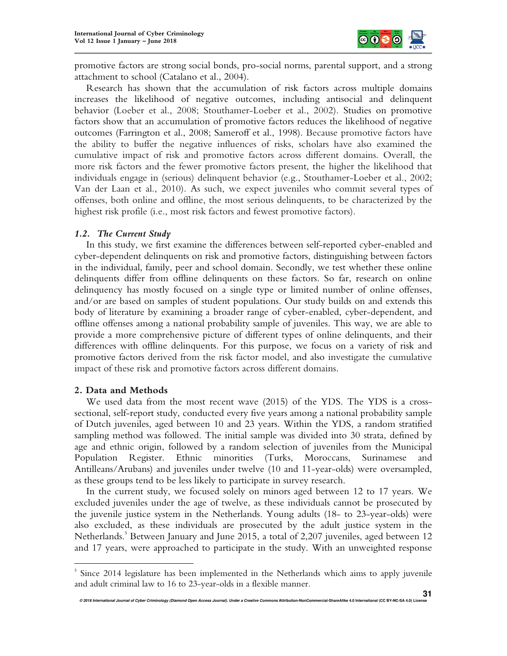

promotive factors are strong social bonds, pro-social norms, parental support, and a strong attachment to school (Catalano et al., 2004).

Research has shown that the accumulation of risk factors across multiple domains increases the likelihood of negative outcomes, including antisocial and delinquent behavior (Loeber et al., 2008; Stouthamer-Loeber et al., 2002). Studies on promotive factors show that an accumulation of promotive factors reduces the likelihood of negative outcomes (Farrington et al., 2008; Sameroff et al., 1998). Because promotive factors have the ability to buffer the negative influences of risks, scholars have also examined the cumulative impact of risk and promotive factors across different domains. Overall, the more risk factors and the fewer promotive factors present, the higher the likelihood that individuals engage in (serious) delinquent behavior (e.g., Stouthamer-Loeber et al., 2002; Van der Laan et al., 2010). As such, we expect juveniles who commit several types of offenses, both online and offline, the most serious delinquents, to be characterized by the highest risk profile (i.e., most risk factors and fewest promotive factors).

## *1.2. The Current Study*

In this study, we first examine the differences between self-reported cyber-enabled and cyber-dependent delinquents on risk and promotive factors, distinguishing between factors in the individual, family, peer and school domain. Secondly, we test whether these online delinquents differ from offline delinquents on these factors. So far, research on online delinquency has mostly focused on a single type or limited number of online offenses, and/or are based on samples of student populations. Our study builds on and extends this body of literature by examining a broader range of cyber-enabled, cyber-dependent, and offline offenses among a national probability sample of juveniles. This way, we are able to provide a more comprehensive picture of different types of online delinquents, and their differences with offline delinquents. For this purpose, we focus on a variety of risk and promotive factors derived from the risk factor model, and also investigate the cumulative impact of these risk and promotive factors across different domains.

## **2. Data and Methods**

 $\overline{a}$ 

We used data from the most recent wave (2015) of the YDS. The YDS is a crosssectional, self-report study, conducted every five years among a national probability sample of Dutch juveniles, aged between 10 and 23 years. Within the YDS, a random stratified sampling method was followed. The initial sample was divided into 30 strata, defined by age and ethnic origin, followed by a random selection of juveniles from the Municipal Population Register. Ethnic minorities (Turks, Moroccans, Surinamese and Antilleans/Arubans) and juveniles under twelve (10 and 11-year-olds) were oversampled, as these groups tend to be less likely to participate in survey research.

In the current study, we focused solely on minors aged between 12 to 17 years. We excluded juveniles under the age of twelve, as these individuals cannot be prosecuted by the juvenile justice system in the Netherlands. Young adults (18- to 23-year-olds) were also excluded, as these individuals are prosecuted by the adult justice system in the Netherlands.<sup>5</sup> Between January and June 2015, a total of 2,207 juveniles, aged between 12 and 17 years, were approached to participate in the study. With an unweighted response

<sup>5</sup> Since 2014 legislature has been implemented in the Netherlands which aims to apply juvenile and adult criminal law to 16 to 23-year-olds in a flexible manner.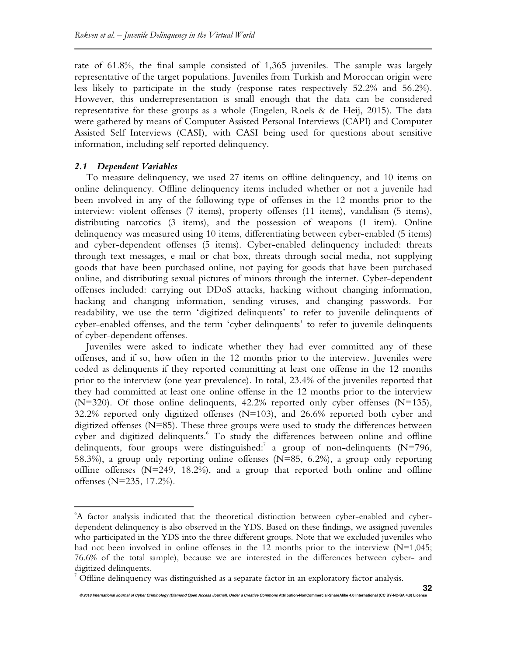rate of 61.8%, the final sample consisted of 1,365 juveniles. The sample was largely representative of the target populations. Juveniles from Turkish and Moroccan origin were less likely to participate in the study (response rates respectively 52.2% and 56.2%). However, this underrepresentation is small enough that the data can be considered representative for these groups as a whole (Engelen, Roels & de Heij, 2015). The data were gathered by means of Computer Assisted Personal Interviews (CAPI) and Computer Assisted Self Interviews (CASI), with CASI being used for questions about sensitive information, including self-reported delinquency.

#### *2.1 Dependent Variables*

 $\overline{a}$ 

To measure delinquency, we used 27 items on offline delinquency, and 10 items on online delinquency. Offline delinquency items included whether or not a juvenile had been involved in any of the following type of offenses in the 12 months prior to the interview: violent offenses (7 items), property offenses (11 items), vandalism (5 items), distributing narcotics (3 items), and the possession of weapons (1 item). Online delinquency was measured using 10 items, differentiating between cyber-enabled (5 items) and cyber-dependent offenses (5 items). Cyber-enabled delinquency included: threats through text messages, e-mail or chat-box, threats through social media, not supplying goods that have been purchased online, not paying for goods that have been purchased online, and distributing sexual pictures of minors through the internet. Cyber-dependent offenses included: carrying out DDoS attacks, hacking without changing information, hacking and changing information, sending viruses, and changing passwords. For readability, we use the term 'digitized delinquents' to refer to juvenile delinquents of cyber-enabled offenses, and the term 'cyber delinquents' to refer to juvenile delinquents of cyber-dependent offenses.

Juveniles were asked to indicate whether they had ever committed any of these offenses, and if so, how often in the 12 months prior to the interview. Juveniles were coded as delinquents if they reported committing at least one offense in the 12 months prior to the interview (one year prevalence). In total, 23.4% of the juveniles reported that they had committed at least one online offense in the 12 months prior to the interview  $(N=320)$ . Of those online delinquents, 42.2% reported only cyber offenses  $(N=135)$ , 32.2% reported only digitized offenses (N=103), and 26.6% reported both cyber and digitized offenses (N=85). These three groups were used to study the differences between cyber and digitized delinquents. To study the differences between online and offline delinquents, four groups were distinguished:<sup>7</sup> a group of non-delinquents (N=796, 58.3%), a group only reporting online offenses (N=85, 6.2%), a group only reporting offline offenses  $(N=249, 18.2%)$ , and a group that reported both online and offline offenses (N=235, 17.2%).

<sup>6</sup>A factor analysis indicated that the theoretical distinction between cyber-enabled and cyberdependent delinquency is also observed in the YDS. Based on these findings, we assigned juveniles who participated in the YDS into the three different groups. Note that we excluded juveniles who had not been involved in online offenses in the 12 months prior to the interview  $(N=1,045;$ 76.6% of the total sample), because we are interested in the differences between cyber- and digitized delinquents.

 $^7$  Offline delinquency was distinguished as a separate factor in an exploratory factor analysis.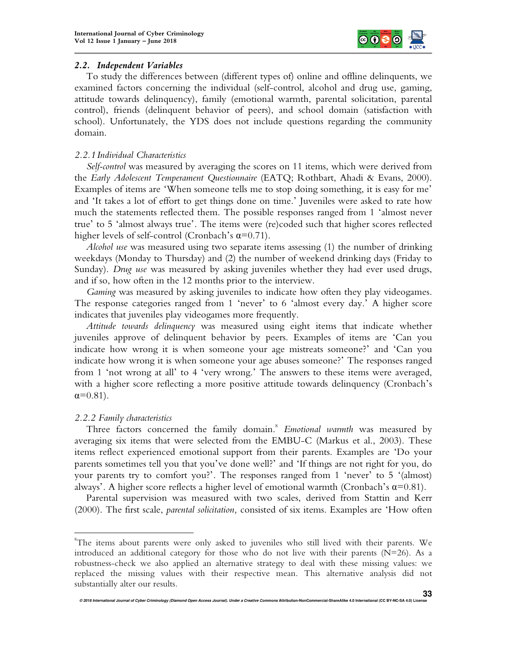

## *2.2. Independent Variables*

To study the differences between (different types of) online and offline delinquents, we examined factors concerning the individual (self-control, alcohol and drug use, gaming, attitude towards delinquency), family (emotional warmth, parental solicitation, parental control), friends (delinquent behavior of peers), and school domain (satisfaction with school). Unfortunately, the YDS does not include questions regarding the community domain.

# *2.2.1 Individual Characteristics*

*Self-control* was measured by averaging the scores on 11 items, which were derived from the *Early Adolescent Temperament Questionnaire* (EATQ; Rothbart, Ahadi & Evans, 2000). Examples of items are 'When someone tells me to stop doing something, it is easy for me' and 'It takes a lot of effort to get things done on time.' Juveniles were asked to rate how much the statements reflected them. The possible responses ranged from 1 'almost never true' to 5 'almost always true'. The items were (re)coded such that higher scores reflected higher levels of self-control (Cronbach's  $\alpha$ =0.71).

*Alcohol use* was measured using two separate items assessing (1) the number of drinking weekdays (Monday to Thursday) and (2) the number of weekend drinking days (Friday to Sunday). *Drug use* was measured by asking juveniles whether they had ever used drugs, and if so, how often in the 12 months prior to the interview.

*Gaming* was measured by asking juveniles to indicate how often they play videogames. The response categories ranged from 1 'never' to 6 'almost every day.' A higher score indicates that juveniles play videogames more frequently.

*Attitude towards delinquency* was measured using eight items that indicate whether juveniles approve of delinquent behavior by peers. Examples of items are 'Can you indicate how wrong it is when someone your age mistreats someone?' and 'Can you indicate how wrong it is when someone your age abuses someone?' The responses ranged from 1 'not wrong at all' to 4 'very wrong.' The answers to these items were averaged, with a higher score reflecting a more positive attitude towards delinquency (Cronbach's  $\alpha = 0.81$ ).

# *2.2.2 Family characteristics*

 $\overline{a}$ 

Three factors concerned the family domain.<sup>8</sup> Emotional warmth was measured by averaging six items that were selected from the EMBU-C (Markus et al., 2003). These items reflect experienced emotional support from their parents. Examples are 'Do your parents sometimes tell you that you've done well?' and 'If things are not right for you, do your parents try to comfort you?'. The responses ranged from 1 'never' to 5 '(almost) always'. A higher score reflects a higher level of emotional warmth (Cronbach's  $\alpha$ =0.81).

Parental supervision was measured with two scales, derived from Stattin and Kerr (2000). The first scale, *parental solicitation,* consisted of six items. Examples are 'How often

<sup>&</sup>lt;sup>8</sup>The items about parents were only asked to juveniles who still lived with their parents. We introduced an additional category for those who do not live with their parents  $(N=26)$ . As a robustness-check we also applied an alternative strategy to deal with these missing values: we replaced the missing values with their respective mean. This alternative analysis did not substantially alter our results.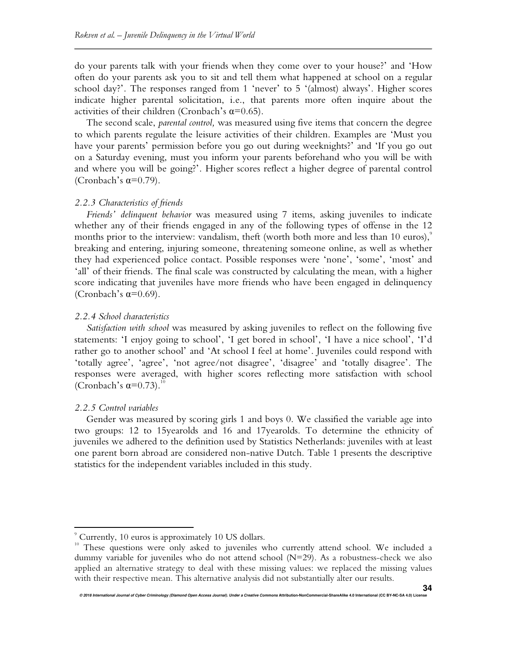do your parents talk with your friends when they come over to your house?' and 'How often do your parents ask you to sit and tell them what happened at school on a regular school day?'. The responses ranged from 1 'never' to 5 '(almost) always'. Higher scores indicate higher parental solicitation, i.e., that parents more often inquire about the activities of their children (Cronbach's  $\alpha$ =0.65).

The second scale, *parental control,* was measured using five items that concern the degree to which parents regulate the leisure activities of their children. Examples are 'Must you have your parents' permission before you go out during weeknights?' and 'If you go out on a Saturday evening, must you inform your parents beforehand who you will be with and where you will be going?'. Higher scores reflect a higher degree of parental control (Cronbach's  $\alpha=0.79$ ).

#### *2.2.3 Characteristics of friends*

*Friends' delinquent behavior* was measured using 7 items, asking juveniles to indicate whether any of their friends engaged in any of the following types of offense in the 12 months prior to the interview: vandalism, theft (worth both more and less than 10 euros), $\degree$ breaking and entering, injuring someone, threatening someone online, as well as whether they had experienced police contact. Possible responses were 'none', 'some', 'most' and 'all' of their friends. The final scale was constructed by calculating the mean, with a higher score indicating that juveniles have more friends who have been engaged in delinquency (Cronbach's  $\alpha=0.69$ ).

#### *2.2.4 School characteristics*

*Satisfaction with school* was measured by asking juveniles to reflect on the following five statements: 'I enjoy going to school', 'I get bored in school', 'I have a nice school', 'I'd rather go to another school' and 'At school I feel at home'. Juveniles could respond with 'totally agree', 'agree', 'not agree/not disagree', 'disagree' and 'totally disagree'. The responses were averaged, with higher scores reflecting more satisfaction with school (Cronbach's  $\alpha=0.73$ ).<sup>10</sup>

#### *2.2.5 Control variables*

l.

Gender was measured by scoring girls 1 and boys 0. We classified the variable age into two groups: 12 to 15yearolds and 16 and 17yearolds. To determine the ethnicity of juveniles we adhered to the definition used by Statistics Netherlands: juveniles with at least one parent born abroad are considered non-native Dutch. Table 1 presents the descriptive statistics for the independent variables included in this study.

<sup>9</sup> Currently, 10 euros is approximately 10 US dollars.

<sup>&</sup>lt;sup>10</sup> These questions were only asked to juveniles who currently attend school. We included a dummy variable for juveniles who do not attend school (N=29). As a robustness-check we also applied an alternative strategy to deal with these missing values: we replaced the missing values with their respective mean. This alternative analysis did not substantially alter our results.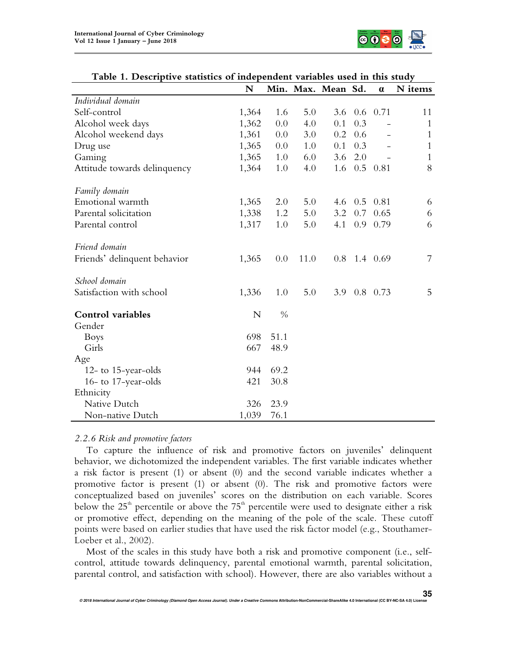

|                              | N     |               |      | Min. Max. Mean Sd. |     | $\alpha$   | N items      |
|------------------------------|-------|---------------|------|--------------------|-----|------------|--------------|
| Individual domain            |       |               |      |                    |     |            |              |
| Self-control                 | 1,364 | 1.6           | 5.0  | 3.6                |     | $0.6$ 0.71 | 11           |
| Alcohol week days            | 1,362 | 0.0           | 4.0  | 0.1                | 0.3 |            | 1            |
| Alcohol weekend days         | 1,361 | 0.0           | 3.0  | 0.2                | 0.6 |            | $\mathbf{1}$ |
| Drug use                     | 1,365 | 0.0           | 1.0  | 0.1                | 0.3 |            | $\mathbf{1}$ |
| Gaming                       | 1,365 | 1.0           | 6.0  | 3.6                | 2.0 |            | $\mathbf{1}$ |
| Attitude towards delinquency | 1,364 | 1.0           | 4.0  | 1.6                |     | $0.5$ 0.81 | 8            |
| Family domain                |       |               |      |                    |     |            |              |
| Emotional warmth             | 1,365 | 2.0           | 5.0  | 4.6                | 0.5 | 0.81       | 6            |
| Parental solicitation        | 1,338 | 1.2           | 5.0  | 3.2                | 0.7 | 0.65       | 6            |
| Parental control             | 1,317 | 1.0           | 5.0  | 4.1                | 0.9 | 0.79       | 6            |
| Friend domain                |       |               |      |                    |     |            |              |
| Friends' delinquent behavior | 1,365 | 0.0           | 11.0 | 0.8                |     | 1.4 0.69   | 7            |
| School domain                |       |               |      |                    |     |            |              |
| Satisfaction with school     | 1,336 | 1.0           | 5.0  | 3.9                |     | $0.8$ 0.73 | 5            |
| <b>Control</b> variables     | N     | $\frac{0}{0}$ |      |                    |     |            |              |
| Gender                       |       |               |      |                    |     |            |              |
| <b>Boys</b>                  | 698   | 51.1          |      |                    |     |            |              |
| Girls                        | 667   | 48.9          |      |                    |     |            |              |
| Age                          |       |               |      |                    |     |            |              |
| 12- to 15-year-olds          | 944   | 69.2          |      |                    |     |            |              |
| 16- to 17-year-olds          | 421   | 30.8          |      |                    |     |            |              |
| Ethnicity                    |       |               |      |                    |     |            |              |
| Native Dutch                 | 326   | 23.9          |      |                    |     |            |              |
| Non-native Dutch             | 1,039 | 76.1          |      |                    |     |            |              |

## **Table 1. Descriptive statistics of independent variables used in this study**

## *2.2.6 Risk and promotive factors*

To capture the influence of risk and promotive factors on juveniles' delinquent behavior, we dichotomized the independent variables. The first variable indicates whether a risk factor is present (1) or absent (0) and the second variable indicates whether a promotive factor is present (1) or absent (0). The risk and promotive factors were conceptualized based on juveniles' scores on the distribution on each variable. Scores below the  $25<sup>th</sup>$  percentile or above the  $75<sup>th</sup>$  percentile were used to designate either a risk or promotive effect, depending on the meaning of the pole of the scale. These cutoff points were based on earlier studies that have used the risk factor model (e.g., Stouthamer-Loeber et al., 2002).

Most of the scales in this study have both a risk and promotive component (i.e., selfcontrol, attitude towards delinquency, parental emotional warmth, parental solicitation, parental control, and satisfaction with school). However, there are also variables without a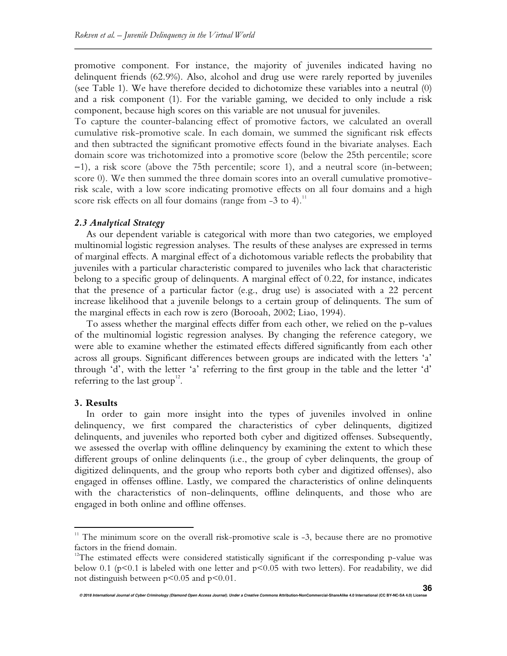promotive component. For instance, the majority of juveniles indicated having no delinquent friends (62.9%). Also, alcohol and drug use were rarely reported by juveniles (see Table 1). We have therefore decided to dichotomize these variables into a neutral (0) and a risk component (1). For the variable gaming, we decided to only include a risk component, because high scores on this variable are not unusual for juveniles.

To capture the counter-balancing effect of promotive factors, we calculated an overall cumulative risk-promotive scale. In each domain, we summed the significant risk effects and then subtracted the significant promotive effects found in the bivariate analyses. Each domain score was trichotomized into a promotive score (below the 25th percentile; score −1), a risk score (above the 75th percentile; score 1), and a neutral score (in-between; score 0). We then summed the three domain scores into an overall cumulative promotiverisk scale, with a low score indicating promotive effects on all four domains and a high score risk effects on all four domains (range from  $-3$  to 4).<sup>11</sup>

#### *2.3 Analytical Strategy*

As our dependent variable is categorical with more than two categories, we employed multinomial logistic regression analyses. The results of these analyses are expressed in terms of marginal effects. A marginal effect of a dichotomous variable reflects the probability that juveniles with a particular characteristic compared to juveniles who lack that characteristic belong to a specific group of delinquents. A marginal effect of 0.22, for instance, indicates that the presence of a particular factor (e.g., drug use) is associated with a 22 percent increase likelihood that a juvenile belongs to a certain group of delinquents. The sum of the marginal effects in each row is zero (Borooah, 2002; Liao, 1994).

To assess whether the marginal effects differ from each other, we relied on the p-values of the multinomial logistic regression analyses. By changing the reference category, we were able to examine whether the estimated effects differed significantly from each other across all groups. Significant differences between groups are indicated with the letters 'a' through 'd', with the letter 'a' referring to the first group in the table and the letter 'd' referring to the last group<sup>12</sup>.

#### **3. Results**

 $\overline{a}$ 

In order to gain more insight into the types of juveniles involved in online delinquency, we first compared the characteristics of cyber delinquents, digitized delinquents, and juveniles who reported both cyber and digitized offenses. Subsequently, we assessed the overlap with offline delinquency by examining the extent to which these different groups of online delinquents (i.e., the group of cyber delinquents, the group of digitized delinquents, and the group who reports both cyber and digitized offenses), also engaged in offenses offline. Lastly, we compared the characteristics of online delinquents with the characteristics of non-delinquents, offline delinquents, and those who are engaged in both online and offline offenses.

 $11$  The minimum score on the overall risk-promotive scale is  $-3$ , because there are no promotive factors in the friend domain.

 $12$ The estimated effects were considered statistically significant if the corresponding p-value was below 0.1 (p<0.1 is labeled with one letter and p<0.05 with two letters). For readability, we did not distinguish between p<0.05 and p<0.01.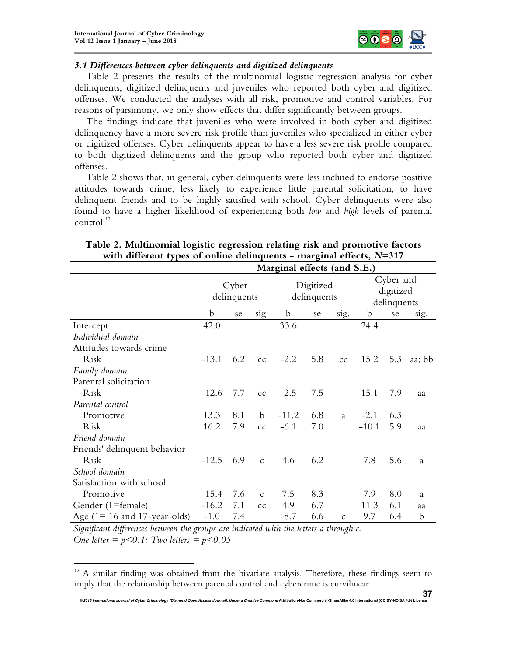

# *3.1 Differences between cyber delinquents and digitized delinquents*

Table 2 presents the results of the multinomial logistic regression analysis for cyber delinquents, digitized delinquents and juveniles who reported both cyber and digitized offenses. We conducted the analyses with all risk, promotive and control variables. For reasons of parsimony, we only show effects that differ significantly between groups.

The findings indicate that juveniles who were involved in both cyber and digitized delinquency have a more severe risk profile than juveniles who specialized in either cyber or digitized offenses. Cyber delinquents appear to have a less severe risk profile compared to both digitized delinquents and the group who reported both cyber and digitized offenses.

Table 2 shows that, in general, cyber delinquents were less inclined to endorse positive attitudes towards crime, less likely to experience little parental solicitation, to have delinquent friends and to be highly satisfied with school. Cyber delinquents were also found to have a higher likelihood of experiencing both *low* and *high* levels of parental  $control.<sup>13</sup>$ 

|                                 |                      |     |               | Marginal effects (and S.E.) |     |               |                                       |     |        |
|---------------------------------|----------------------|-----|---------------|-----------------------------|-----|---------------|---------------------------------------|-----|--------|
|                                 | Cyber<br>delinquents |     |               | Digitized<br>delinquents    |     |               | Cyber and<br>digitized<br>delinquents |     |        |
|                                 | b                    | se  | sig.          | $\mathbf b$                 | se  | sig.          | b                                     | se  | sig.   |
| Intercept                       | 42.0                 |     |               | 33.6                        |     |               | 24.4                                  |     |        |
| Individual domain               |                      |     |               |                             |     |               |                                       |     |        |
| Attitudes towards crime         |                      |     |               |                             |     |               |                                       |     |        |
| Risk                            | $-13.1$              | 6.2 | cc            | $-2.2$                      | 5.8 | cc            | 15.2                                  | 5.3 | aa; bb |
| Family domain                   |                      |     |               |                             |     |               |                                       |     |        |
| Parental solicitation           |                      |     |               |                             |     |               |                                       |     |        |
| Risk                            | $-12.6$              | 7.7 | cc            | $-2.5$                      | 7.5 |               | 15.1                                  | 7.9 | aa     |
| Parental control                |                      |     |               |                             |     |               |                                       |     |        |
| Promotive                       | 13.3                 | 8.1 | b             | $-11.2$                     | 6.8 | a             | $-2.1$                                | 6.3 |        |
| Risk                            | 16.2                 | 7.9 | cc            | $-6.1$                      | 7.0 |               | $-10.1$                               | 5.9 | aa     |
| Friend domain                   |                      |     |               |                             |     |               |                                       |     |        |
| Friends' delinquent behavior    |                      |     |               |                             |     |               |                                       |     |        |
| Risk                            | $-12.5$              | 6.9 | $\mathcal{C}$ | 4.6                         | 6.2 |               | 7.8                                   | 5.6 | a      |
| School domain                   |                      |     |               |                             |     |               |                                       |     |        |
| Satisfaction with school        |                      |     |               |                             |     |               |                                       |     |        |
| Promotive                       | $-15.4$              | 7.6 | $\mathcal{C}$ | 7.5                         | 8.3 |               | 7.9                                   | 8.0 | a      |
| Gender (1=female)               | $-16.2$              | 7.1 | cc            | 4.9                         | 6.7 |               | 11.3                                  | 6.1 | aa     |
| Age $(1 = 16$ and 17-year-olds) | $-1.0$               | 7.4 |               | $-8.7$                      | 6.6 | $\mathcal{C}$ | 9.7                                   | 6.4 | b      |

# **Table 2. Multinomial logistic regression relating risk and promotive factors with different types of online delinquents - marginal effects,** *N***=317**

*Significant differences between the groups are indicated with the letters a through c. One letter = p<0.1; Two letters = p<0.05* 

 $\overline{a}$ 

<sup>13</sup> A similar finding was obtained from the bivariate analysis. Therefore, these findings seem to imply that the relationship between parental control and cybercrime is curvilinear.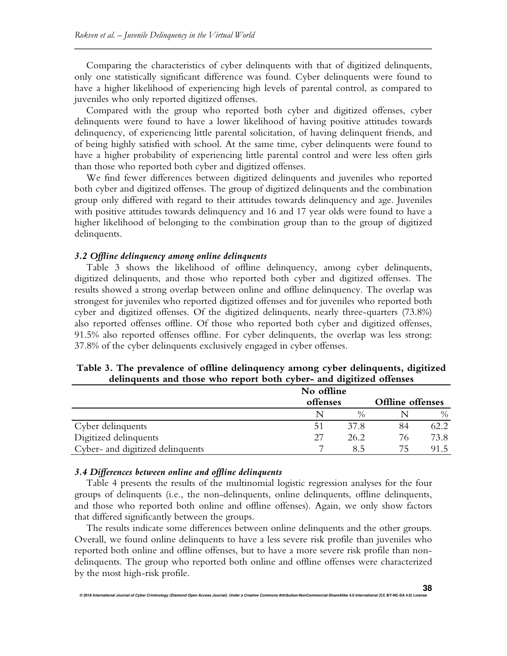Comparing the characteristics of cyber delinquents with that of digitized delinquents, only one statistically significant difference was found. Cyber delinquents were found to have a higher likelihood of experiencing high levels of parental control, as compared to juveniles who only reported digitized offenses.

Compared with the group who reported both cyber and digitized offenses, cyber delinquents were found to have a lower likelihood of having positive attitudes towards delinquency, of experiencing little parental solicitation, of having delinquent friends, and of being highly satisfied with school. At the same time, cyber delinquents were found to have a higher probability of experiencing little parental control and were less often girls than those who reported both cyber and digitized offenses.

We find fewer differences between digitized delinquents and juveniles who reported both cyber and digitized offenses. The group of digitized delinquents and the combination group only differed with regard to their attitudes towards delinquency and age. Juveniles with positive attitudes towards delinquency and 16 and 17 year olds were found to have a higher likelihood of belonging to the combination group than to the group of digitized delinquents.

#### *3.2 Offline delinquency among online delinquents*

Table 3 shows the likelihood of offline delinquency, among cyber delinquents, digitized delinquents, and those who reported both cyber and digitized offenses. The results showed a strong overlap between online and offline delinquency. The overlap was strongest for juveniles who reported digitized offenses and for juveniles who reported both cyber and digitized offenses. Of the digitized delinquents, nearly three-quarters (73.8%) also reported offenses offline. Of those who reported both cyber and digitized offenses, 91.5% also reported offenses offline. For cyber delinquents, the overlap was less strong: 37.8% of the cyber delinquents exclusively engaged in cyber offenses.

## **Table 3. The prevalence of offline delinquency among cyber delinquents, digitized delinquents and those who report both cyber- and digitized offenses**

|                                  | No offline |               |                  |      |  |
|----------------------------------|------------|---------------|------------------|------|--|
|                                  | offenses   |               | Offline offenses |      |  |
|                                  |            | $\frac{0}{6}$ |                  | $\%$ |  |
| Cyber delinquents                | 51         | 37.8          | 84               | 62.2 |  |
| Digitized delinquents            | 27         | 26.2          | 76               | 73.8 |  |
| Cyber- and digitized delinquents |            | 85            | 75               | 91.5 |  |

#### *3.4 Differences between online and offline delinquents*

Table 4 presents the results of the multinomial logistic regression analyses for the four groups of delinquents (i.e., the non-delinquents, online delinquents, offline delinquents, and those who reported both online and offline offenses). Again, we only show factors that differed significantly between the groups.

The results indicate some differences between online delinquents and the other groups. Overall, we found online delinquents to have a less severe risk profile than juveniles who reported both online and offline offenses, but to have a more severe risk profile than nondelinquents. The group who reported both online and offline offenses were characterized by the most high-risk profile.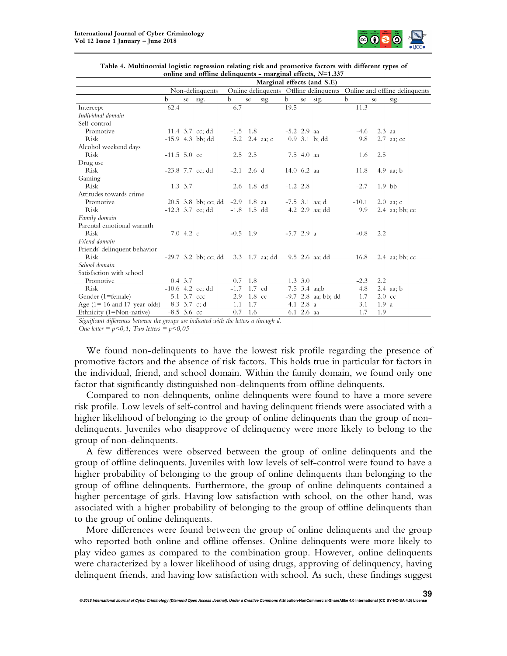

|                                 | Marginal effects (and S.E) |             |                                     |                                                                       |                  |                 |                              |                 |                       |             |                  |                  |
|---------------------------------|----------------------------|-------------|-------------------------------------|-----------------------------------------------------------------------|------------------|-----------------|------------------------------|-----------------|-----------------------|-------------|------------------|------------------|
|                                 |                            |             | Non-delinquents                     | Online delinquents Offline delinquents Online and offline delinquents |                  |                 |                              |                 |                       |             |                  |                  |
|                                 | b                          | se          | sig.                                | $\mathbf b$                                                           | se               | sig.            | $\mathbf b$                  | se              | sig.                  | $\mathbf b$ | se               | sig.             |
| Intercept                       | 62.4                       |             |                                     | 6.7                                                                   |                  |                 | 19.5                         |                 |                       | 11.3        |                  |                  |
| Individual domain               |                            |             |                                     |                                                                       |                  |                 |                              |                 |                       |             |                  |                  |
| Self-control                    |                            |             |                                     |                                                                       |                  |                 |                              |                 |                       |             |                  |                  |
| Promotive                       |                            |             | 11.4 3.7 cc; dd                     | $-1.5$ 1.8                                                            |                  |                 | $-5.2$ 2.9 aa                |                 |                       | $-4.6$      | $2.3$ aa         |                  |
| Risk                            |                            |             | $-15.9$ 4.3 bb; dd                  |                                                                       |                  | 5.2 $2.4$ aa; c |                              |                 | $0.9$ 3.1 b; dd       | 9.8         |                  | 2.7 aa; cc       |
| Alcohol weekend days            |                            |             |                                     |                                                                       |                  |                 |                              |                 |                       |             |                  |                  |
| <b>Risk</b>                     | $-11.5$ 5.0 cc             |             |                                     |                                                                       | $2.5$ $2.5$      |                 |                              | 7.5 4.0 aa      |                       | 1.6         | 2.5              |                  |
| Drug use                        |                            |             |                                     |                                                                       |                  |                 |                              |                 |                       |             |                  |                  |
| Risk                            |                            |             | $-23.8$ 7.7 cc; dd                  |                                                                       | $-2.1$ 2.6 d     |                 | $14.0\text{ }6.2\text{ }$ aa |                 |                       | 11.8        |                  | $4.9$ aa; b      |
| Gaming                          |                            |             |                                     |                                                                       |                  |                 |                              |                 |                       |             |                  |                  |
| <b>Risk</b>                     |                            | $1.3 \t3.7$ |                                     |                                                                       | $2.6$ 1.8 dd     |                 | $-1.2$ 2.8                   |                 |                       | $-2.7$      | $1.9$ bb         |                  |
| Attitudes towards crime         |                            |             |                                     |                                                                       |                  |                 |                              |                 |                       |             |                  |                  |
| Promotive                       |                            |             | $20.5$ 3.8 bb; cc; dd               | $-2.9$ 1.8 aa                                                         |                  |                 |                              |                 | $-7.5$ 3.1 aa; d      | $-10.1$     |                  | $2.0$ aa; c      |
| Risk                            |                            |             | $-12.3$ 3.7 cc; dd                  | $-1.8$ 1.5 dd                                                         |                  |                 |                              |                 | 4.2 2.9 aa; dd        | 9.9         |                  | $2.4$ aa; bb; cc |
| Family domain                   |                            |             |                                     |                                                                       |                  |                 |                              |                 |                       |             |                  |                  |
| Parental emotional warmth       |                            |             |                                     |                                                                       |                  |                 |                              |                 |                       |             |                  |                  |
| <b>Risk</b>                     |                            | 7.04.2c     |                                     | $-0.5$ 1.9                                                            |                  |                 | $-5.7$ 2.9 a                 |                 |                       | $-0.8$      | 2.2              |                  |
| Friend domain                   |                            |             |                                     |                                                                       |                  |                 |                              |                 |                       |             |                  |                  |
| Friends' delinquent behavior    |                            |             |                                     |                                                                       |                  |                 |                              |                 |                       |             |                  |                  |
| <b>Risk</b>                     |                            |             | -29.7 3.2 bb; cc; dd 3.3 1.7 aa; dd |                                                                       |                  |                 |                              |                 | 9.5 2.6 aa: dd        | 16.8        |                  | $2.4$ aa; bb; cc |
| School domain                   |                            |             |                                     |                                                                       |                  |                 |                              |                 |                       |             |                  |                  |
| Satisfaction with school        |                            |             |                                     |                                                                       |                  |                 |                              |                 |                       |             |                  |                  |
| Promotive                       |                            | $0.4$ 3.7   |                                     | 0.7                                                                   | 1.8              |                 |                              | $1.3 \, 3.0$    |                       | $-2.3$      | 2.2              |                  |
| <b>Risk</b>                     |                            |             | $-10.6$ 4.2 cc; dd                  | $-1.7$                                                                | $1.7 \text{ cd}$ |                 |                              |                 | 7.5 3.4 aa;b          | 4.8         |                  | $2.4$ aa; b      |
| Gender (1=female)               |                            | 5.1 3.7 ccc |                                     | 2.9                                                                   | $1.8 \text{ cc}$ |                 |                              |                 | $-9.7$ 2.8 aa; bb; dd | 1.7         | $2.0 \text{ cc}$ |                  |
| Age $(1 = 16$ and 17-year-olds) |                            |             | 8.3 3.7 c; d                        | $-1.1$                                                                | 1.7              |                 | $-4.1$ 2.8 a                 |                 |                       | $-3.1$      | 1.9a             |                  |
| Ethnicity (1=Non-native)        | $-8.5$ 3.6 cc              |             |                                     | 0.7                                                                   | 1.6              |                 |                              | $6.1\,2.6\,$ aa |                       | 1.7         | 1.9              |                  |

| Table 4. Multinomial logistic regression relating risk and promotive factors with different types of |  |  |  |  |  |  |  |
|------------------------------------------------------------------------------------------------------|--|--|--|--|--|--|--|
| online and offline delinquents - marginal effects, $N=1.337$                                         |  |  |  |  |  |  |  |

Significant differences between the groups are indicated with the letters a through d. One letter =  $p < 0, 1$ ; Two letters =  $p < 0, 05$ 

We found non-delinquents to have the lowest risk profile regarding the presence of promotive factors and the absence of risk factors. This holds true in particular for factors in the individual, friend, and school domain. Within the family domain, we found only one factor that significantly distinguished non-delinquents from offline delinquents.

Compared to non-delinquents, online delinquents were found to have a more severe risk profile. Low levels of self-control and having delinquent friends were associated with a higher likelihood of belonging to the group of online delinquents than the group of nondelinquents. Juveniles who disapprove of delinquency were more likely to belong to the group of non-delinquents.

A few differences were observed between the group of online delinquents and the group of offline delinquents. Juveniles with low levels of self-control were found to have a higher probability of belonging to the group of online delinquents than belonging to the group of offline delinquents. Furthermore, the group of online delinquents contained a higher percentage of girls. Having low satisfaction with school, on the other hand, was associated with a higher probability of belonging to the group of offline delinquents than to the group of online delinquents.

More differences were found between the group of online delinquents and the group who reported both online and offline offenses. Online delinquents were more likely to play video games as compared to the combination group. However, online delinquents were characterized by a lower likelihood of using drugs, approving of delinquency, having delinquent friends, and having low satisfaction with school. As such, these findings suggest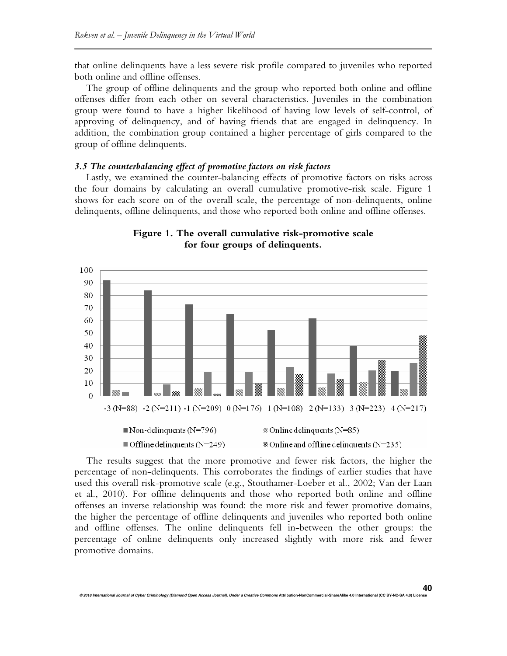that online delinquents have a less severe risk profile compared to juveniles who reported both online and offline offenses.

The group of offline delinquents and the group who reported both online and offline offenses differ from each other on several characteristics. Juveniles in the combination group were found to have a higher likelihood of having low levels of self-control, of approving of delinquency, and of having friends that are engaged in delinquency. In addition, the combination group contained a higher percentage of girls compared to the group of offline delinquents.

#### *3.5 The counterbalancing effect of promotive factors on risk factors*

Lastly, we examined the counter-balancing effects of promotive factors on risks across the four domains by calculating an overall cumulative promotive-risk scale. Figure 1 shows for each score on of the overall scale, the percentage of non-delinquents, online delinquents, offline delinquents, and those who reported both online and offline offenses.





The results suggest that the more promotive and fewer risk factors, the higher the percentage of non-delinquents. This corroborates the findings of earlier studies that have used this overall risk-promotive scale (e.g., Stouthamer-Loeber et al., 2002; Van der Laan et al., 2010). For offline delinquents and those who reported both online and offline offenses an inverse relationship was found: the more risk and fewer promotive domains, the higher the percentage of offline delinquents and juveniles who reported both online and offline offenses. The online delinquents fell in-between the other groups: the percentage of online delinquents only increased slightly with more risk and fewer promotive domains.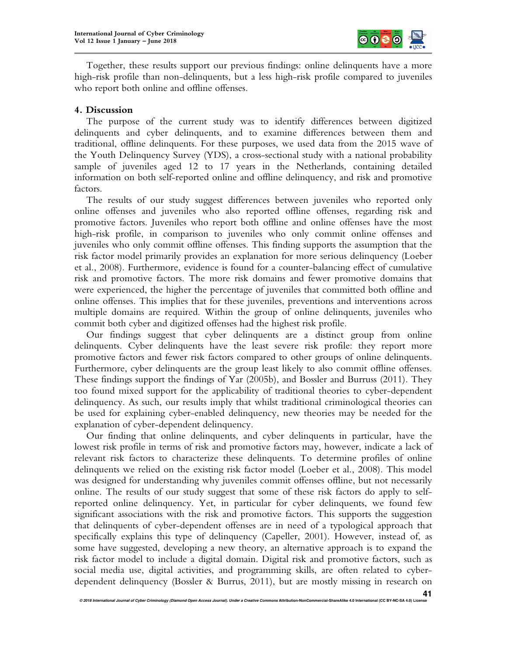

Together, these results support our previous findings: online delinquents have a more high-risk profile than non-delinquents, but a less high-risk profile compared to juveniles who report both online and offline offenses.

## **4. Discussion**

The purpose of the current study was to identify differences between digitized delinquents and cyber delinquents, and to examine differences between them and traditional, offline delinquents. For these purposes, we used data from the 2015 wave of the Youth Delinquency Survey (YDS), a cross-sectional study with a national probability sample of juveniles aged 12 to 17 years in the Netherlands, containing detailed information on both self-reported online and offline delinquency, and risk and promotive factors.

The results of our study suggest differences between juveniles who reported only online offenses and juveniles who also reported offline offenses, regarding risk and promotive factors. Juveniles who report both offline and online offenses have the most high-risk profile, in comparison to juveniles who only commit online offenses and juveniles who only commit offline offenses. This finding supports the assumption that the risk factor model primarily provides an explanation for more serious delinquency (Loeber et al., 2008). Furthermore, evidence is found for a counter-balancing effect of cumulative risk and promotive factors. The more risk domains and fewer promotive domains that were experienced, the higher the percentage of juveniles that committed both offline and online offenses. This implies that for these juveniles, preventions and interventions across multiple domains are required. Within the group of online delinquents, juveniles who commit both cyber and digitized offenses had the highest risk profile.

Our findings suggest that cyber delinquents are a distinct group from online delinquents. Cyber delinquents have the least severe risk profile: they report more promotive factors and fewer risk factors compared to other groups of online delinquents. Furthermore, cyber delinquents are the group least likely to also commit offline offenses. These findings support the findings of Yar (2005b), and Bossler and Burruss (2011). They too found mixed support for the applicability of traditional theories to cyber-dependent delinquency. As such, our results imply that whilst traditional criminological theories can be used for explaining cyber-enabled delinquency, new theories may be needed for the explanation of cyber-dependent delinquency.

Our finding that online delinquents, and cyber delinquents in particular, have the lowest risk profile in terms of risk and promotive factors may, however, indicate a lack of relevant risk factors to characterize these delinquents. To determine profiles of online delinquents we relied on the existing risk factor model (Loeber et al., 2008). This model was designed for understanding why juveniles commit offenses offline, but not necessarily online. The results of our study suggest that some of these risk factors do apply to selfreported online delinquency. Yet, in particular for cyber delinquents, we found few significant associations with the risk and promotive factors. This supports the suggestion that delinquents of cyber-dependent offenses are in need of a typological approach that specifically explains this type of delinquency (Capeller, 2001). However, instead of, as some have suggested, developing a new theory, an alternative approach is to expand the risk factor model to include a digital domain. Digital risk and promotive factors, such as social media use, digital activities, and programming skills, are often related to cyberdependent delinquency (Bossler & Burrus, 2011), but are mostly missing in research on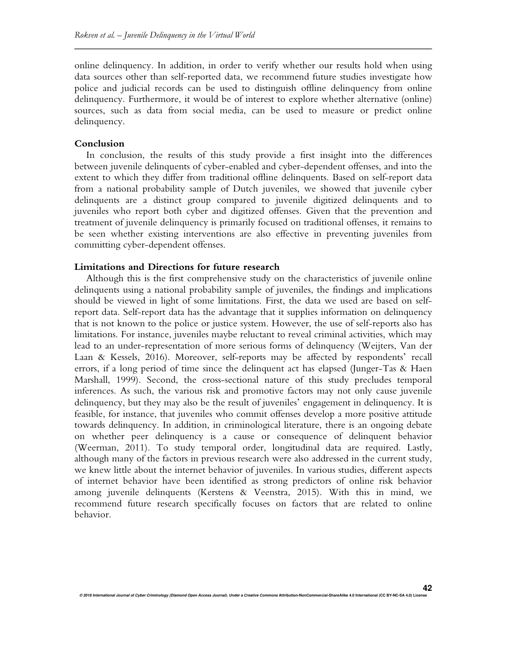online delinquency. In addition, in order to verify whether our results hold when using data sources other than self-reported data, we recommend future studies investigate how police and judicial records can be used to distinguish offline delinquency from online delinquency. Furthermore, it would be of interest to explore whether alternative (online) sources, such as data from social media, can be used to measure or predict online delinquency.

#### **Conclusion**

In conclusion, the results of this study provide a first insight into the differences between juvenile delinquents of cyber-enabled and cyber-dependent offenses, and into the extent to which they differ from traditional offline delinquents. Based on self-report data from a national probability sample of Dutch juveniles, we showed that juvenile cyber delinquents are a distinct group compared to juvenile digitized delinquents and to juveniles who report both cyber and digitized offenses. Given that the prevention and treatment of juvenile delinquency is primarily focused on traditional offenses, it remains to be seen whether existing interventions are also effective in preventing juveniles from committing cyber-dependent offenses.

### **Limitations and Directions for future research**

Although this is the first comprehensive study on the characteristics of juvenile online delinquents using a national probability sample of juveniles, the findings and implications should be viewed in light of some limitations. First, the data we used are based on selfreport data. Self-report data has the advantage that it supplies information on delinquency that is not known to the police or justice system. However, the use of self-reports also has limitations. For instance, juveniles maybe reluctant to reveal criminal activities, which may lead to an under-representation of more serious forms of delinquency (Weijters, Van der Laan & Kessels, 2016). Moreover, self-reports may be affected by respondents' recall errors, if a long period of time since the delinquent act has elapsed (Junger-Tas & Haen Marshall, 1999). Second, the cross-sectional nature of this study precludes temporal inferences. As such, the various risk and promotive factors may not only cause juvenile delinquency, but they may also be the result of juveniles' engagement in delinquency. It is feasible, for instance, that juveniles who commit offenses develop a more positive attitude towards delinquency. In addition, in criminological literature, there is an ongoing debate on whether peer delinquency is a cause or consequence of delinquent behavior (Weerman, 2011). To study temporal order, longitudinal data are required. Lastly, although many of the factors in previous research were also addressed in the current study, we knew little about the internet behavior of juveniles. In various studies, different aspects of internet behavior have been identified as strong predictors of online risk behavior among juvenile delinquents (Kerstens & Veenstra, 2015). With this in mind, we recommend future research specifically focuses on factors that are related to online behavior.

**42**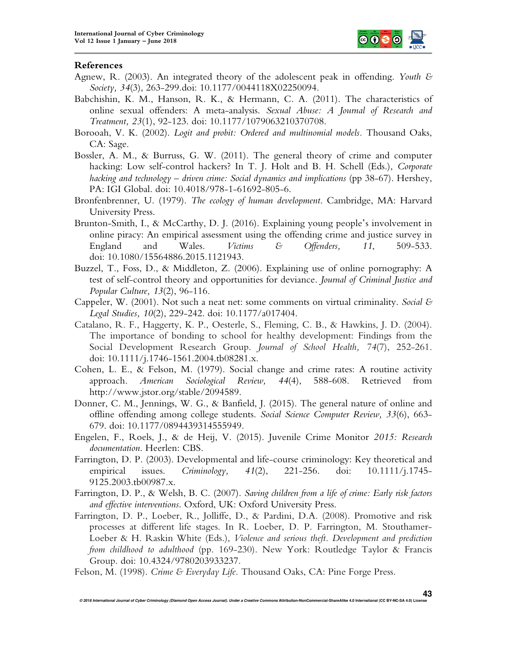

## **References**

- Agnew, R. (2003). An integrated theory of the adolescent peak in offending. *Youth & Society, 34*(3), 263-299.doi: 10.1177/0044118X02250094.
- Babchishin, K. M., Hanson, R. K., & Hermann, C. A. (2011). The characteristics of online sexual offenders: A meta-analysis. *Sexual Abuse: A Journal of Research and Treatment, 23*(1), 92-123. doi: 10.1177/1079063210370708.
- Borooah, V. K. (2002). *Logit and probit: Ordered and multinomial models.* Thousand Oaks, CA: Sage.
- Bossler, A. M., & Burruss, G. W. (2011). The general theory of crime and computer hacking: Low self-control hackers? In T. J. Holt and B. H. Schell (Eds.), *Corporate hacking and technology – driven crime: Social dynamics and implications* (pp 38-67). Hershey, PA: IGI Global. doi: 10.4018/978-1-61692-805-6.
- Bronfenbrenner, U. (1979). *The ecology of human development*. Cambridge, MA: Harvard University Press.
- Brunton-Smith, I., & McCarthy, D. J. (2016). Explaining young people's involvement in online piracy: An empirical assessment using the offending crime and justice survey in England and Wales. *Victims & Offenders, 11*, 509-533. doi: 10.1080/15564886.2015.1121943.
- Buzzel, T., Foss, D., & Middleton, Z. (2006). Explaining use of online pornography: A test of self-control theory and opportunities for deviance. *Journal of Criminal Justice and Popular Culture, 13*(2), 96-116.
- Cappeler, W. (2001). Not such a neat net: some comments on virtual criminality. *Social & Legal Studies, 10*(2), 229-242. doi: 10.1177/a017404.
- Catalano, R. F., Haggerty, K. P., Oesterle, S., Fleming, C. B., & Hawkins, J. D. (2004). The importance of bonding to school for healthy development: Findings from the Social Development Research Group. *Journal of School Health, 74*(7), 252-261. doi: 10.1111/j.1746-1561.2004.tb08281.x.
- Cohen, L. E., & Felson, M. (1979). Social change and crime rates: A routine activity approach. *American Sociological Review, 44*(4), 588-608. Retrieved from http://www.jstor.org/stable/2094589.
- Donner, C. M., Jennings, W. G., & Banfield, J. (2015). The general nature of online and offline offending among college students. *Social Science Computer Review, 33*(6), 663- 679. doi: 10.1177/0894439314555949.
- Engelen, F., Roels, J., & de Heij, V. (2015). Juvenile Crime Monitor *2015: Research documentation*. Heerlen: CBS.
- Farrington, D. P. (2003). Developmental and life-course criminology: Key theoretical and empirical issues. *Criminology, 41*(2), 221-256. doi: 10.1111/j.1745- 9125.2003.tb00987.x.
- Farrington, D. P., & Welsh, B. C. (2007). *Saving children from a life of crime: Early risk factors and effective interventions*. Oxford, UK: Oxford University Press.
- Farrington, D. P., Loeber, R., Jolliffe, D., & Pardini, D.A. (2008). Promotive and risk processes at different life stages. In R. Loeber, D. P. Farrington, M. Stouthamer-Loeber & H. Raskin White (Eds.), *Violence and serious theft. Development and prediction from childhood to adulthood* (pp. 169-230). New York: Routledge Taylor & Francis Group. doi: 10.4324/9780203933237.

**© 2018 International Journal of Cyber Criminology (Diamond Open Access Journal). Under a Creative Commons Attribution-NonCommercial-ShareAlike 4.0 International (CC BY-NC-SA 4.0) License** 

Felson, M. (1998). *Crime & Everyday Life.* Thousand Oaks, CA: Pine Forge Press.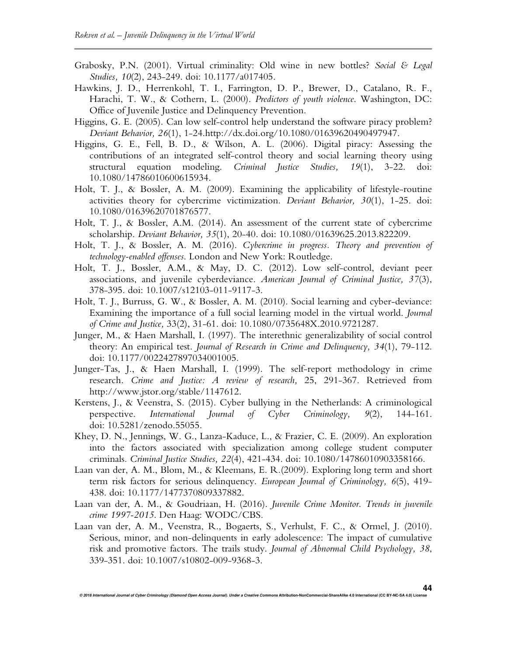- Grabosky, P.N. (2001). Virtual criminality: Old wine in new bottles? *Social & Legal Studies, 10*(2), 243-249. doi: 10.1177/a017405.
- Hawkins, J. D., Herrenkohl, T. I., Farrington, D. P., Brewer, D., Catalano, R. F., Harachi, T. W., & Cothern, L. (2000). *Predictors of youth violence*. Washington, DC: Office of Juvenile Justice and Delinquency Prevention.
- Higgins, G. E. (2005). Can low self-control help understand the software piracy problem? *Deviant Behavior, 26*(1), 1-24.http://dx.doi.org/10.1080/01639620490497947.
- Higgins, G. E., Fell, B. D., & Wilson, A. L. (2006). Digital piracy: Assessing the contributions of an integrated self-control theory and social learning theory using structural equation modeling. *Criminal Justice Studies, 19*(1), 3-22. doi: 10.1080/14786010600615934.
- Holt, T. J., & Bossler, A. M. (2009). Examining the applicability of lifestyle-routine activities theory for cybercrime victimization. *Deviant Behavior, 30*(1), 1-25. doi: 10.1080/01639620701876577.
- Holt, T. J., & Bossler, A.M. (2014). An assessment of the current state of cybercrime scholarship. *Deviant Behavior, 35*(1), 20-40. doi: 10.1080/01639625.2013.822209.
- Holt, T. J., & Bossler, A. M. (2016). *Cybercrime in progress. Theory and prevention of technology-enabled offenses*. London and New York: Routledge.
- Holt, T. J., Bossler, A.M., & May, D. C. (2012). Low self-control, deviant peer associations, and juvenile cyberdeviance. *American Journal of Criminal Justice, 37*(3), 378-395. doi: 10.1007/s12103-011-9117-3.
- Holt, T. J., Burruss, G. W., & Bossler, A. M. (2010). Social learning and cyber-deviance: Examining the importance of a full social learning model in the virtual world. *Journal of Crime and Justice,* 33(2), 31-61. doi: 10.1080/0735648X.2010.9721287.
- Junger, M., & Haen Marshall, I. (1997). The interethnic generalizability of social control theory: An empirical test. *Journal of Research in Crime and Delinquency, 34*(1), 79-112. doi: 10.1177/0022427897034001005.
- Junger-Tas, J., & Haen Marshall, I. (1999). The self-report methodology in crime research. *Crime and Justice: A review of research,* 25, 291-367. Retrieved from http://www.jstor.org/stable/1147612.
- Kerstens, J., & Veenstra, S. (2015). Cyber bullying in the Netherlands: A criminological perspective. *International Journal of Cyber Criminology, 9*(2), 144-161. doi: 10.5281/zenodo.55055.
- Khey, D. N., Jennings, W. G., Lanza-Kaduce, L., & Frazier, C. E. (2009). An exploration into the factors associated with specialization among college student computer criminals. *Criminal Justice Studies, 22*(4), 421-434. doi: 10.1080/14786010903358166.
- Laan van der, A. M., Blom, M., & Kleemans, E. R.(2009). Exploring long term and short term risk factors for serious delinquency. *European Journal of Criminology, 6*(5), 419- 438. doi: 10.1177/1477370809337882.
- Laan van der, A. M., & Goudriaan, H. (2016). *Juvenile Crime Monitor*. *Trends in juvenile crime 1997-2015*. Den Haag: WODC/CBS.
- Laan van der, A. M., Veenstra, R., Bogaerts, S., Verhulst, F. C., & Ormel, J. (2010). Serious, minor, and non-delinquents in early adolescence: The impact of cumulative risk and promotive factors. The trails study. *Journal of Abnormal Child Psychology, 38*, 339-351. doi: 10.1007/s10802-009-9368-3.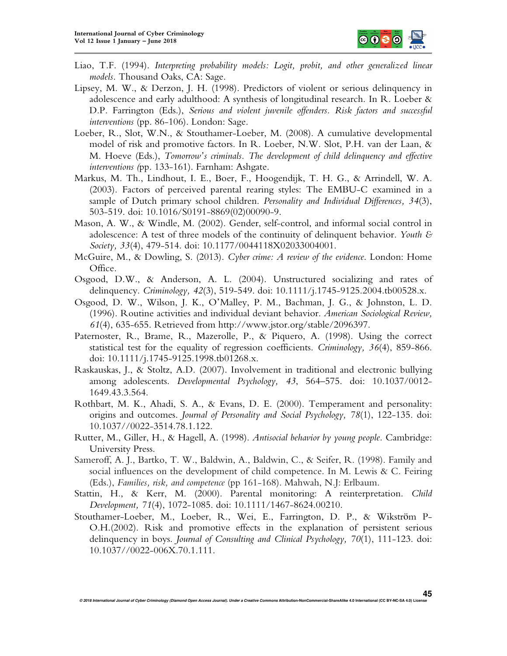

- Liao, T.F. (1994). *Interpreting probability models: Logit, probit, and other generalized linear models.* Thousand Oaks, CA: Sage.
- Lipsey, M. W., & Derzon, J. H. (1998). Predictors of violent or serious delinquency in adolescence and early adulthood: A synthesis of longitudinal research. In R. Loeber & D.P. Farrington (Eds.), *Serious and violent juvenile offenders. Risk factors and successful interventions* (pp. 86-106). London: Sage.
- Loeber, R., Slot, W.N., & Stouthamer-Loeber, M. (2008). A cumulative developmental model of risk and promotive factors. In R. Loeber, N.W. Slot, P.H. van der Laan, & M. Hoeve (Eds.), *Tomorrow's criminals. The development of child delinquency and effective interventions (*pp. 133-161). Farnham: Ashgate.
- Markus, M. Th., Lindhout, I. E., Boer, F., Hoogendijk, T. H. G., & Arrindell, W. A. (2003). Factors of perceived parental rearing styles: The EMBU-C examined in a sample of Dutch primary school children. *Personality and Individual Differences, 34*(3), 503-519. doi: 10.1016/S0191-8869(02)00090-9.
- Mason, A. W., & Windle, M. (2002). Gender, self-control, and informal social control in adolescence: A test of three models of the continuity of delinquent behavior. *Youth & Society, 33*(4), 479-514. doi: 10.1177/0044118X02033004001.
- McGuire, M., & Dowling, S. (2013). *Cyber crime: A review of the evidence*. London: Home Office.
- Osgood, D.W., & Anderson, A. L. (2004). Unstructured socializing and rates of delinquency. *Criminology, 42*(3), 519-549. doi: 10.1111/j.1745-9125.2004.tb00528.x.
- Osgood, D. W., Wilson, J. K., O'Malley, P. M., Bachman, J. G., & Johnston, L. D. (1996). Routine activities and individual deviant behavior. *American Sociological Review, 61*(4), 635-655. Retrieved from http://www.jstor.org/stable/2096397.
- Paternoster, R., Brame, R., Mazerolle, P., & Piquero, A. (1998). Using the correct statistical test for the equality of regression coefficients. *Criminology, 36*(4), 859-866. doi: 10.1111/j.1745-9125.1998.tb01268.x.
- Raskauskas, J., & Stoltz, A.D. (2007). Involvement in traditional and electronic bullying among adolescents. *Developmental Psychology, 43*, 564–575. doi: 10.1037/0012- 1649.43.3.564.
- Rothbart, M. K., Ahadi, S. A., & Evans, D. E. (2000). Temperament and personality: origins and outcomes. *Journal of Personality and Social Psychology, 78*(1), 122-135. doi: 10.1037//0022-3514.78.1.122.
- Rutter, M., Giller, H., & Hagell, A. (1998). *Antisocial behavior by young people.* Cambridge: University Press.
- Sameroff, A. J., Bartko, T. W., Baldwin, A., Baldwin, C., & Seifer, R. (1998). Family and social influences on the development of child competence. In M. Lewis & C. Feiring (Eds.), *Families, risk, and competence* (pp 161-168). Mahwah, N.J: Erlbaum.
- Stattin, H., & Kerr, M. (2000). Parental monitoring: A reinterpretation. *Child Development, 71*(4), 1072-1085. doi: 10.1111/1467-8624.00210.
- Stouthamer-Loeber, M., Loeber, R., Wei, E., Farrington, D. P., & Wikström P-O.H.(2002). Risk and promotive effects in the explanation of persistent serious delinquency in boys. *Journal of Consulting and Clinical Psychology, 70*(1), 111-123. doi: 10.1037//0022-006X.70.1.111.